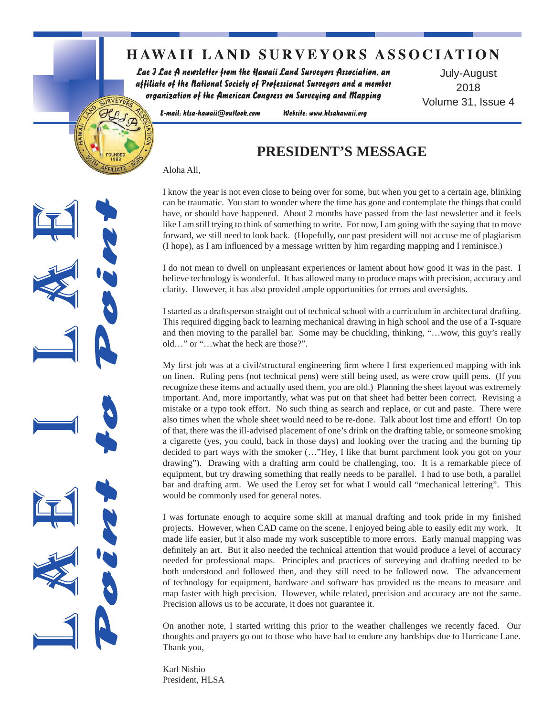### **HAWAII LAND SURVEYORS ASSOCIATION**

Lae J Lae A newsletter from the Hawaii Land Surveyors Association, an affiliate of the National Society of Professional Surveyors and a member organization of the American Congress on Surveying and Mapping

July-August 2018 Volume 31, Issue 4

E-mail: hlsa-hawaii@outlook.com

Website: www.hlsahawaii.org

### **PRESIDENT'S MESSAGE**

Aloha All,

URVEYOR.

I know the year is not even close to being over for some, but when you get to a certain age, blinking can be traumatic. You start to wonder where the time has gone and contemplate the things that could have, or should have happened. About 2 months have passed from the last newsletter and it feels like I am still trying to think of something to write. For now, I am going with the saying that to move forward, we still need to look back. (Hopefully, our past president will not accuse me of plagiarism (I hope), as I am influenced by a message written by him regarding mapping and I reminisce.)

I do not mean to dwell on unpleasant experiences or lament about how good it was in the past. I believe technology is wonderful. It has allowed many to produce maps with precision, accuracy and clarity. However, it has also provided ample opportunities for errors and oversights.

I started as a draftsperson straight out of technical school with a curriculum in architectural drafting. This required digging back to learning mechanical drawing in high school and the use of a T-square and then moving to the parallel bar. Some may be chuckling, thinking, "…wow, this guy's really old…" or "…what the heck are those?".

My first job was at a civil/structural engineering firm where I first experienced mapping with ink on linen. Ruling pens (not technical pens) were still being used, as were crow quill pens. (If you recognize these items and actually used them, you are old.) Planning the sheet layout was extremely important. And, more importantly, what was put on that sheet had better been correct. Revising a mistake or a typo took effort. No such thing as search and replace, or cut and paste. There were also times when the whole sheet would need to be re-done. Talk about lost time and effort! On top of that, there was the ill-advised placement of one's drink on the drafting table, or someone smoking a cigarette (yes, you could, back in those days) and looking over the tracing and the burning tip decided to part ways with the smoker (…"Hey, I like that burnt parchment look you got on your drawing"). Drawing with a drafting arm could be challenging, too. It is a remarkable piece of equipment, but try drawing something that really needs to be parallel. I had to use both, a parallel bar and drafting arm. We used the Leroy set for what I would call "mechanical lettering". This would be commonly used for general notes.

I was fortunate enough to acquire some skill at manual drafting and took pride in my finished projects. However, when CAD came on the scene, I enjoyed being able to easily edit my work. It made life easier, but it also made my work susceptible to more errors. Early manual mapping was definitely an art. But it also needed the technical attention that would produce a level of accuracy needed for professional maps. Principles and practices of surveying and drafting needed to be both understood and followed then, and they still need to be followed now. The advancement of technology for equipment, hardware and software has provided us the means to measure and map faster with high precision. However, while related, precision and accuracy are not the same. Precision allows us to be accurate, it does not guarantee it.

On another note, I started writing this prior to the weather challenges we recently faced. Our thoughts and prayers go out to those who have had to endure any hardships due to Hurricane Lane. Thank you,

Karl Nishio President, HLSA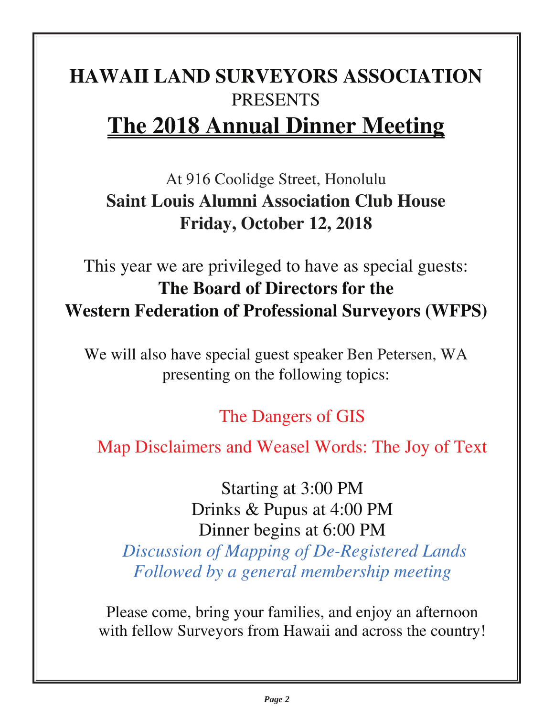# **HAWAII LAND SURVEYORS ASSOCIATION**  PRESENTS **The 2018 Annual Dinner Meeting**

# At 916 Coolidge Street, Honolulu **Saint Louis Alumni Association Club House Friday, October 12, 2018**

# This year we are privileged to have as special guests: **The Board of Directors for the Western Federation of Professional Surveyors (WFPS)**

We will also have special guest speaker Ben Petersen, WA presenting on the following topics:

# The Dangers of GIS

Map Disclaimers and Weasel Words: The Joy of Text

Starting at 3:00 PM Drinks & Pupus at 4:00 PM Dinner begins at 6:00 PM  *Discussion of Mapping of De-Registered Lands Followed by a general membership meeting* 

Please come, bring your families, and enjoy an afternoon with fellow Surveyors from Hawaii and across the country!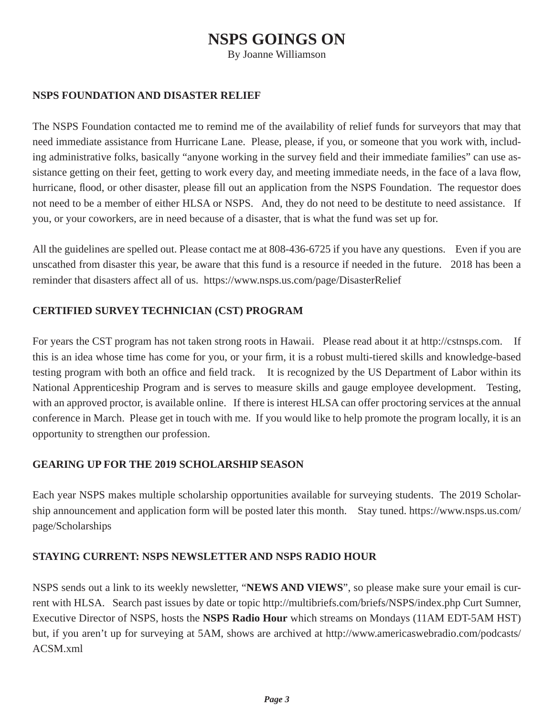#### **NSPS GOINGS ON**

By Joanne Williamson

#### **NSPS FOUNDATION AND DISASTER RELIEF**

The NSPS Foundation contacted me to remind me of the availability of relief funds for surveyors that may that need immediate assistance from Hurricane Lane. Please, please, if you, or someone that you work with, including administrative folks, basically "anyone working in the survey field and their immediate families" can use assistance getting on their feet, getting to work every day, and meeting immediate needs, in the face of a lava flow, hurricane, flood, or other disaster, please fill out an application from the NSPS Foundation. The requestor does not need to be a member of either HLSA or NSPS. And, they do not need to be destitute to need assistance. If you, or your coworkers, are in need because of a disaster, that is what the fund was set up for.

All the guidelines are spelled out. Please contact me at 808-436-6725 if you have any questions. Even if you are unscathed from disaster this year, be aware that this fund is a resource if needed in the future. 2018 has been a reminder that disasters affect all of us. https://www.nsps.us.com/page/DisasterRelief

#### **CERTIFIED SURVEY TECHNICIAN (CST) PROGRAM**

For years the CST program has not taken strong roots in Hawaii. Please read about it at http://cstnsps.com. If this is an idea whose time has come for you, or your firm, it is a robust multi-tiered skills and knowledge-based testing program with both an office and field track. It is recognized by the US Department of Labor within its National Apprenticeship Program and is serves to measure skills and gauge employee development. Testing, with an approved proctor, is available online. If there is interest HLSA can offer proctoring services at the annual conference in March. Please get in touch with me. If you would like to help promote the program locally, it is an opportunity to strengthen our profession.

#### **GEARING UP FOR THE 2019 SCHOLARSHIP SEASON**

Each year NSPS makes multiple scholarship opportunities available for surveying students. The 2019 Scholarship announcement and application form will be posted later this month. Stay tuned. https://www.nsps.us.com/ page/Scholarships

#### **STAYING CURRENT: NSPS NEWSLETTER AND NSPS RADIO HOUR**

NSPS sends out a link to its weekly newsletter, "**NEWS AND VIEWS**", so please make sure your email is current with HLSA. Search past issues by date or topic http://multibriefs.com/briefs/NSPS/index.php Curt Sumner, Executive Director of NSPS, hosts the **NSPS Radio Hour** which streams on Mondays (11AM EDT-5AM HST) but, if you aren't up for surveying at 5AM, shows are archived at http://www.americaswebradio.com/podcasts/ ACSM.xml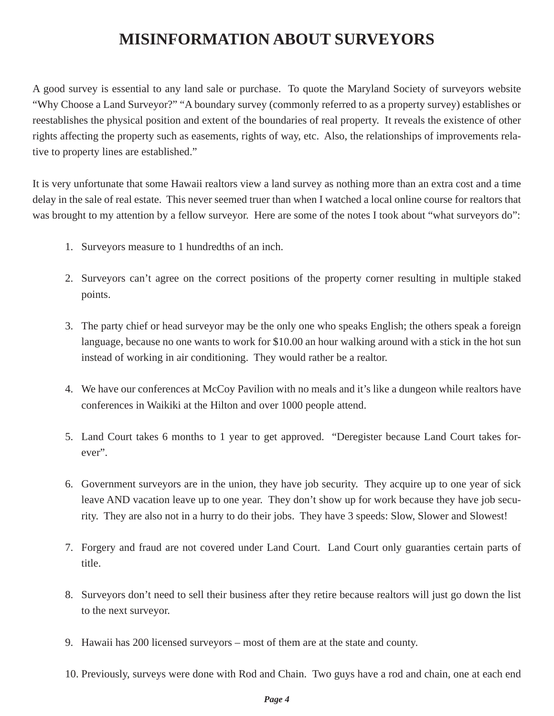## **MISINFORMATION ABOUT SURVEYORS**

A good survey is essential to any land sale or purchase. To quote the Maryland Society of surveyors website "Why Choose a Land Surveyor?" "A boundary survey (commonly referred to as a property survey) establishes or reestablishes the physical position and extent of the boundaries of real property. It reveals the existence of other rights affecting the property such as easements, rights of way, etc. Also, the relationships of improvements relative to property lines are established."

It is very unfortunate that some Hawaii realtors view a land survey as nothing more than an extra cost and a time delay in the sale of real estate. This never seemed truer than when I watched a local online course for realtors that was brought to my attention by a fellow surveyor. Here are some of the notes I took about "what surveyors do":

- 1. Surveyors measure to 1 hundredths of an inch.
- 2. Surveyors can't agree on the correct positions of the property corner resulting in multiple staked points.
- 3. The party chief or head surveyor may be the only one who speaks English; the others speak a foreign language, because no one wants to work for \$10.00 an hour walking around with a stick in the hot sun instead of working in air conditioning. They would rather be a realtor.
- 4. We have our conferences at McCoy Pavilion with no meals and it's like a dungeon while realtors have conferences in Waikiki at the Hilton and over 1000 people attend.
- 5. Land Court takes 6 months to 1 year to get approved. "Deregister because Land Court takes forever".
- 6. Government surveyors are in the union, they have job security. They acquire up to one year of sick leave AND vacation leave up to one year. They don't show up for work because they have job security. They are also not in a hurry to do their jobs. They have 3 speeds: Slow, Slower and Slowest!
- 7. Forgery and fraud are not covered under Land Court. Land Court only guaranties certain parts of title.
- 8. Surveyors don't need to sell their business after they retire because realtors will just go down the list to the next surveyor.
- 9. Hawaii has 200 licensed surveyors most of them are at the state and county.
- 10. Previously, surveys were done with Rod and Chain. Two guys have a rod and chain, one at each end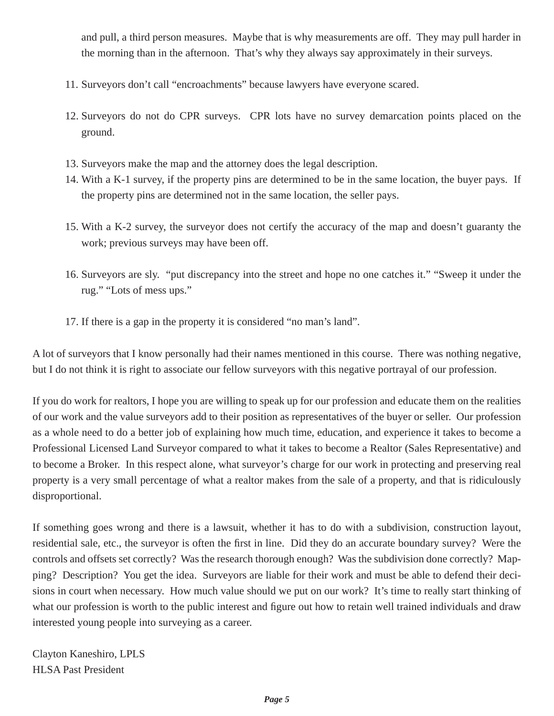and pull, a third person measures. Maybe that is why measurements are off. They may pull harder in the morning than in the afternoon. That's why they always say approximately in their surveys.

- 11. Surveyors don't call "encroachments" because lawyers have everyone scared.
- 12. Surveyors do not do CPR surveys. CPR lots have no survey demarcation points placed on the ground.
- 13. Surveyors make the map and the attorney does the legal description.
- 14. With a K-1 survey, if the property pins are determined to be in the same location, the buyer pays. If the property pins are determined not in the same location, the seller pays.
- 15. With a K-2 survey, the surveyor does not certify the accuracy of the map and doesn't guaranty the work; previous surveys may have been off.
- 16. Surveyors are sly. "put discrepancy into the street and hope no one catches it." "Sweep it under the rug." "Lots of mess ups."
- 17. If there is a gap in the property it is considered "no man's land".

A lot of surveyors that I know personally had their names mentioned in this course. There was nothing negative, but I do not think it is right to associate our fellow surveyors with this negative portrayal of our profession.

If you do work for realtors, I hope you are willing to speak up for our profession and educate them on the realities of our work and the value surveyors add to their position as representatives of the buyer or seller. Our profession as a whole need to do a better job of explaining how much time, education, and experience it takes to become a Professional Licensed Land Surveyor compared to what it takes to become a Realtor (Sales Representative) and to become a Broker. In this respect alone, what surveyor's charge for our work in protecting and preserving real property is a very small percentage of what a realtor makes from the sale of a property, and that is ridiculously disproportional.

If something goes wrong and there is a lawsuit, whether it has to do with a subdivision, construction layout, residential sale, etc., the surveyor is often the first in line. Did they do an accurate boundary survey? Were the controls and offsets set correctly? Was the research thorough enough? Was the subdivision done correctly? Mapping? Description? You get the idea. Surveyors are liable for their work and must be able to defend their decisions in court when necessary. How much value should we put on our work? It's time to really start thinking of what our profession is worth to the public interest and figure out how to retain well trained individuals and draw interested young people into surveying as a career.

Clayton Kaneshiro, LPLS HLSA Past President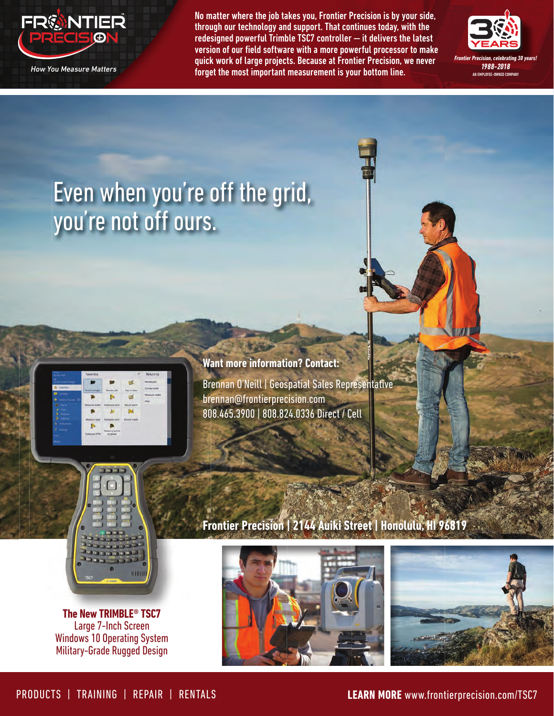

No matter where the job takes you, Frontier Precision is by your side, through our technology and support. That continues today, with the redesigned powerful Trimble TSC7 controller — it delivers the latest version of our field software with a more powerful processor to make quick work of large projects. Because at Frontier Precision, we never forget the most important measurement is your bottom line.



# Even when you're off the grid, you're not off ours.



**Want more information? Contact:** Brennan O'Neill | Geospatial Sales Representative brennan@frontierprecision.com 808.465.3900 | 808.824.0336 Direct / Cell



**The New TRIMBLE® TSC7** Large 7-Inch Screen Windows 10 Operating System Military-Grade Rugged Design

### **Frontier Precision | 2144 Auiki Street | Honolulu, HI 96819**



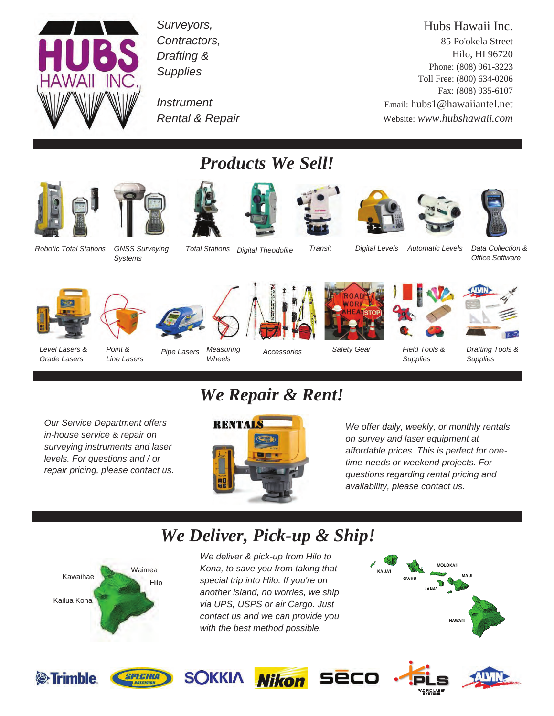

*Surveyors, Contractors, Drafting & Supplies* 

*Instrument Rental & Repair* 

Hubs Hawaii Inc. 85 Po'okela Street Hilo, HI 96720 Phone: (808) 961-3223 Toll Free: (800) 634-0206 Fax: (808) 935-6107 Email: hubs1@hawaiiantel.net Website: *www.hubshawaii.com*





*Systems* 



*Products We Sell!* 









*Total Stations Digital Theodolite Transit Automatic Levels Data Collection & Digital Levels* 

*Office Software* 











*Drafting Tools & Supplies* 

*Level Lasers & Grade Lasers* 

*Point & Line Lasers* 

*Pipe Lasers Measuring Wheels* 

*Accessories* 

*Safety Gear* 

*Our Service Department offers in-house service & repair on surveying instruments and laser levels. For questions and / or repair pricing, please contact us.* 

# *We Repair & Rent!*



*We offer daily, weekly, or monthly rentals on survey and laser equipment at affordable prices. This is perfect for onetime-needs or weekend projects. For questions regarding rental pricing and availability, please contact us.* 

*Field Tools & Supplies* 

# *We Deliver, Pick-up & Ship!*



*We deliver & pick-up from Hilo to Kona, to save you from taking that special trip into Hilo. If you're on another island, no worries, we ship via UPS, USPS or air Cargo. Just contact us and we can provide you with the best method possible.* 











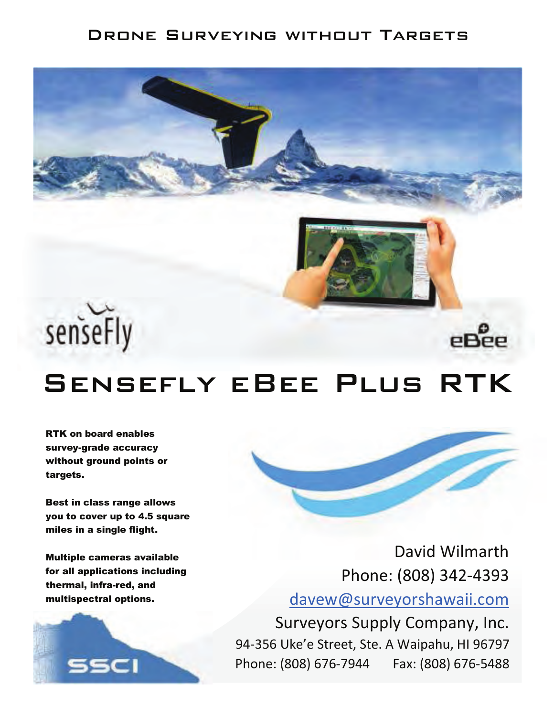#### DRONE SURVEYING WITHOUT TARGETS







# eBee

# SENSEFLY EBEE PLUS RTK

**RTK on board enables** survey-grade accuracy without ground points or targets.

Best in class range allows you to cover up to 4.5 square miles in a single flight.

Multiple cameras available for all applications including thermal, infra-red, and multispectral options.





David Wilmarth Phone: (808) 342-4393 davew@surveyorshawaii.com

Surveyors Supply Company, Inc. 94-356 Uke'e Street, Ste. A Waipahu, HI 96797 Phone: (808) 676-7944 Fax: (808) 676-5488